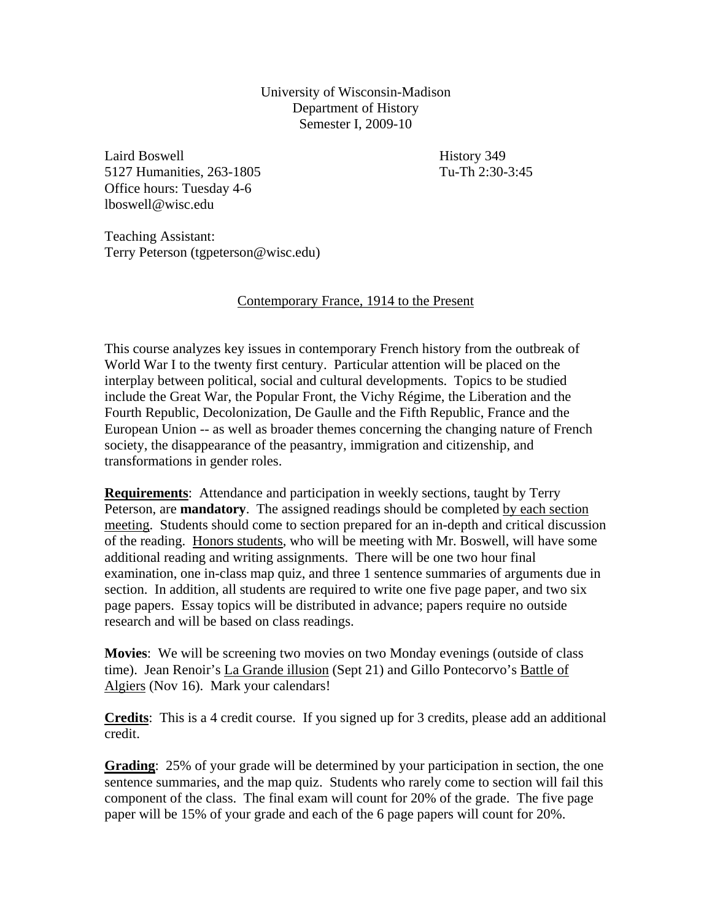University of Wisconsin-Madison Department of History Semester I, 2009-10

Laird Boswell History 349 5127 Humanities, 263-1805 Tu-Th 2:30-3:45 Office hours: Tuesday 4-6 lboswell@wisc.edu

Teaching Assistant: Terry Peterson (tgpeterson@wisc.edu)

## Contemporary France, 1914 to the Present

This course analyzes key issues in contemporary French history from the outbreak of World War I to the twenty first century. Particular attention will be placed on the interplay between political, social and cultural developments. Topics to be studied include the Great War, the Popular Front, the Vichy Régime, the Liberation and the Fourth Republic, Decolonization, De Gaulle and the Fifth Republic, France and the European Union -- as well as broader themes concerning the changing nature of French society, the disappearance of the peasantry, immigration and citizenship, and transformations in gender roles.

**Requirements**: Attendance and participation in weekly sections, taught by Terry Peterson, are **mandatory**. The assigned readings should be completed by each section meeting. Students should come to section prepared for an in-depth and critical discussion of the reading. Honors students, who will be meeting with Mr. Boswell, will have some additional reading and writing assignments. There will be one two hour final examination, one in-class map quiz, and three 1 sentence summaries of arguments due in section. In addition, all students are required to write one five page paper, and two six page papers. Essay topics will be distributed in advance; papers require no outside research and will be based on class readings.

**Movies**: We will be screening two movies on two Monday evenings (outside of class time). Jean Renoir's La Grande illusion (Sept 21) and Gillo Pontecorvo's Battle of Algiers (Nov 16). Mark your calendars!

**Credits**: This is a 4 credit course. If you signed up for 3 credits, please add an additional credit.

**Grading**: 25% of your grade will be determined by your participation in section, the one sentence summaries, and the map quiz. Students who rarely come to section will fail this component of the class. The final exam will count for 20% of the grade. The five page paper will be 15% of your grade and each of the 6 page papers will count for 20%.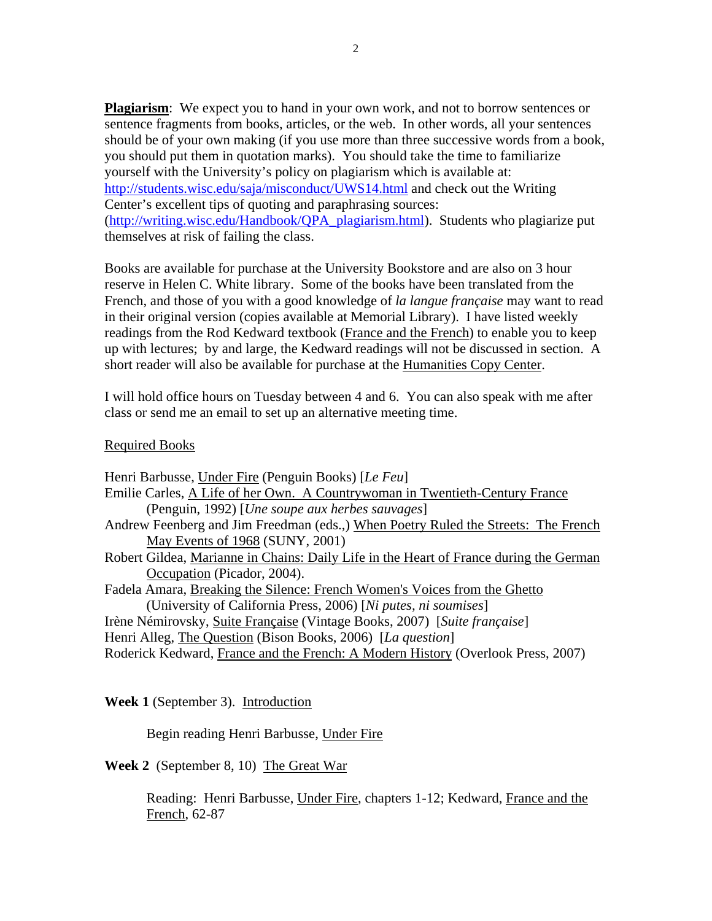**Plagiarism**: We expect you to hand in your own work, and not to borrow sentences or sentence fragments from books, articles, or the web. In other words, all your sentences should be of your own making (if you use more than three successive words from a book, you should put them in quotation marks). You should take the time to familiarize yourself with the University's policy on plagiarism which is available at: <http://students.wisc.edu/saja/misconduct/UWS14.html>and check out the Writing Center's excellent tips of quoting and paraphrasing sources: ([http://writing.wisc.edu/Handbook/QPA\\_plagiarism.html\)](http://writing.wisc.edu/Handbook/QPA_plagiarism.html). Students who plagiarize put themselves at risk of failing the class.

Books are available for purchase at the University Bookstore and are also on 3 hour reserve in Helen C. White library. Some of the books have been translated from the French, and those of you with a good knowledge of *la langue française* may want to read in their original version (copies available at Memorial Library). I have listed weekly readings from the Rod Kedward textbook (France and the French) to enable you to keep up with lectures; by and large, the Kedward readings will not be discussed in section. A short reader will also be available for purchase at the Humanities Copy Center.

I will hold office hours on Tuesday between 4 and 6. You can also speak with me after class or send me an email to set up an alternative meeting time.

## Required Books

| Henri Barbusse, Under Fire (Penguin Books) [Le Feu]                                    |
|----------------------------------------------------------------------------------------|
| Emilie Carles, A Life of her Own. A Countrywoman in Twentieth-Century France           |
| (Penguin, 1992) [Une soupe aux herbes sauvages]                                        |
| Andrew Feenberg and Jim Freedman (eds.,) When Poetry Ruled the Streets: The French     |
| May Events of 1968 (SUNY, 2001)                                                        |
| Robert Gildea, Marianne in Chains: Daily Life in the Heart of France during the German |
| Occupation (Picador, 2004).                                                            |
| Fadela Amara, Breaking the Silence: French Women's Voices from the Ghetto              |
| (University of California Press, 2006) [Ni putes, ni soumises]                         |
| Irène Némirovsky, Suite Française (Vintage Books, 2007) [Suite française]              |
| Henri Alleg, The Question (Bison Books, 2006) [La question]                            |
| Roderick Kedward, France and the French: A Modern History (Overlook Press, 2007)       |
|                                                                                        |

## **Week 1** (September 3). Introduction

# Begin reading Henri Barbusse, Under Fire

**Week 2** (September 8, 10) The Great War

Reading: Henri Barbusse, Under Fire, chapters 1-12; Kedward, France and the French, 62-87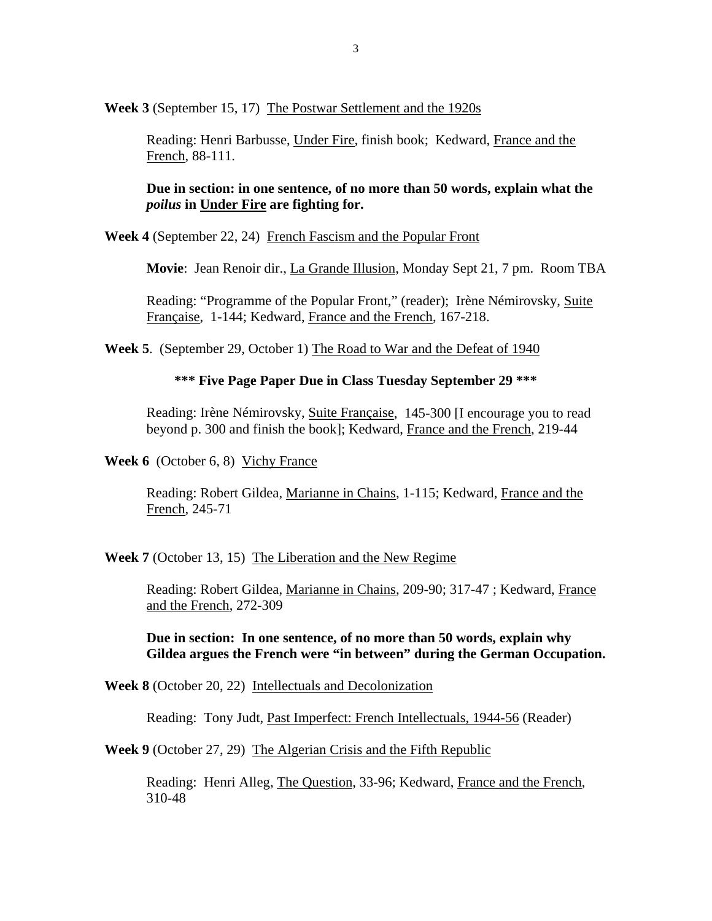**Week 3** (September 15, 17) The Postwar Settlement and the 1920s

Reading: Henri Barbusse, Under Fire, finish book; Kedward, France and the French, 88-111.

**Due in section: in one sentence, of no more than 50 words, explain what the**  *poilus* **in Under Fire are fighting for.** 

**Week 4** (September 22, 24) French Fascism and the Popular Front

**Movie**: Jean Renoir dir., La Grande Illusion, Monday Sept 21, 7 pm. Room TBA

Reading: "Programme of the Popular Front," (reader); Irène Némirovsky, Suite Française, 1-144; Kedward, France and the French, 167-218.

**Week 5**. (September 29, October 1) The Road to War and the Defeat of 1940

#### **\*\*\* Five Page Paper Due in Class Tuesday September 29 \*\*\***

Reading: Irène Némirovsky, Suite Française, 145-300 [I encourage you to read beyond p. 300 and finish the book]; Kedward, France and the French, 219-44

**Week 6** (October 6, 8) Vichy France

Reading: Robert Gildea, Marianne in Chains, 1-115; Kedward, France and the French, 245-71

**Week 7** (October 13, 15) The Liberation and the New Regime

Reading: Robert Gildea, Marianne in Chains, 209-90; 317-47 ; Kedward, France and the French, 272-309

**Due in section: In one sentence, of no more than 50 words, explain why Gildea argues the French were "in between" during the German Occupation.** 

**Week 8** (October 20, 22) Intellectuals and Decolonization

Reading: Tony Judt, Past Imperfect: French Intellectuals, 1944-56 (Reader)

**Week 9** (October 27, 29) The Algerian Crisis and the Fifth Republic

Reading: Henri Alleg, The Question, 33-96; Kedward, France and the French, 310-48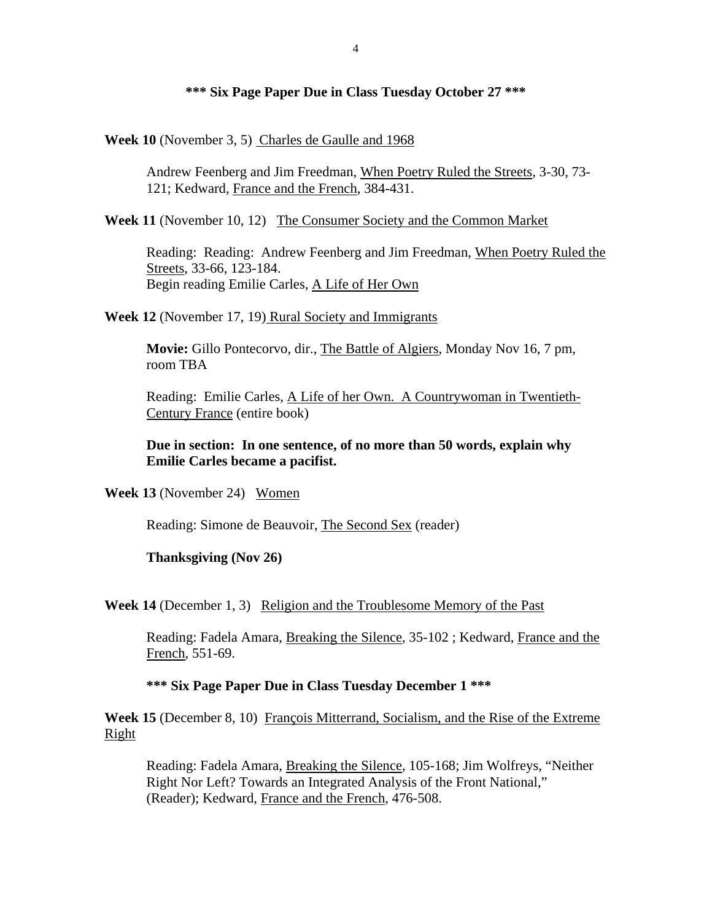### **\*\*\* Six Page Paper Due in Class Tuesday October 27 \*\*\***

**Week 10** (November 3, 5) Charles de Gaulle and 1968

Andrew Feenberg and Jim Freedman, When Poetry Ruled the Streets, 3-30, 73- 121; Kedward, France and the French, 384-431.

**Week 11** (November 10, 12) The Consumer Society and the Common Market

Reading: Reading: Andrew Feenberg and Jim Freedman, When Poetry Ruled the Streets, 33-66, 123-184. Begin reading Emilie Carles, A Life of Her Own

**Week 12** (November 17, 19) Rural Society and Immigrants

**Movie:** Gillo Pontecorvo, dir., The Battle of Algiers, Monday Nov 16, 7 pm, room TBA

Reading: Emilie Carles, A Life of her Own. A Countrywoman in Twentieth-Century France (entire book)

**Due in section: In one sentence, of no more than 50 words, explain why Emilie Carles became a pacifist.** 

**Week 13** (November 24) Women

Reading: Simone de Beauvoir, The Second Sex (reader)

**Thanksgiving (Nov 26)**

**Week 14** (December 1, 3) Religion and the Troublesome Memory of the Past

Reading: Fadela Amara, Breaking the Silence, 35-102 ; Kedward, France and the French, 551-69.

**\*\*\* Six Page Paper Due in Class Tuesday December 1 \*\*\*** 

**Week 15** (December 8, 10) François Mitterrand, Socialism, and the Rise of the Extreme Right

Reading: Fadela Amara, Breaking the Silence, 105-168; Jim Wolfreys, "Neither Right Nor Left? Towards an Integrated Analysis of the Front National," (Reader); Kedward, France and the French, 476-508.